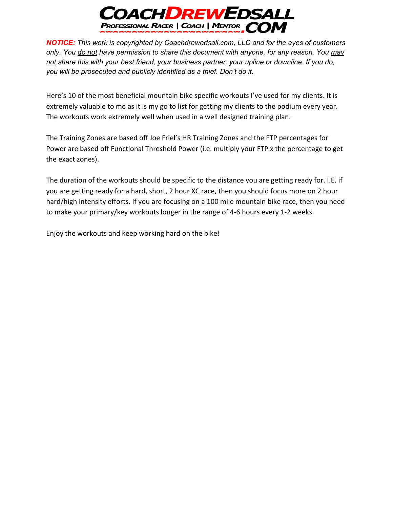

Here's 10 of the most beneficial mountain bike specific workouts I've used for my clients. It is extremely valuable to me as it is my go to list for getting my clients to the podium every year. The workouts work extremely well when used in a well designed training plan.

The Training Zones are based off Joe Friel's HR Training Zones and the FTP percentages for Power are based off Functional Threshold Power (i.e. multiply your FTP x the percentage to get the exact zones).

The duration of the workouts should be specific to the distance you are getting ready for. I.E. if you are getting ready for a hard, short, 2 hour XC race, then you should focus more on 2 hour hard/high intensity efforts. If you are focusing on a 100 mile mountain bike race, then you need to make your primary/key workouts longer in the range of 4-6 hours every 1-2 weeks.

Enjoy the workouts and keep working hard on the bike!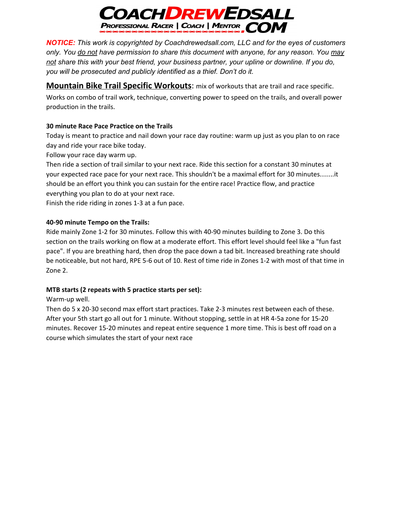

**Mountain Bike Trail Specific Workouts**: mix of workouts that are trail and race specific. Works on combo of trail work, technique, converting power to speed on the trails, and overall power production in the trails.

## **30 minute Race Pace Practice on the Trails**

Today is meant to practice and nail down your race day routine: warm up just as you plan to on race day and ride your race bike today.

Follow your race day warm up.

Then ride a section of trail similar to your next race. Ride this section for a constant 30 minutes at your expected race pace for your next race. This shouldn't be a maximal effort for 30 minutes…….it should be an effort you think you can sustain for the entire race! Practice flow, and practice everything you plan to do at your next race.

Finish the ride riding in zones 1-3 at a fun pace.

### **40-90 minute Tempo on the Trails:**

Ride mainly Zone 1-2 for 30 minutes. Follow this with 40-90 minutes building to Zone 3. Do this section on the trails working on flow at a moderate effort. This effort level should feel like a "fun fast pace". If you are breathing hard, then drop the pace down a tad bit. Increased breathing rate should be noticeable, but not hard, RPE 5-6 out of 10. Rest of time ride in Zones 1-2 with most of that time in Zone 2.

# **MTB starts (2 repeats with 5 practice starts per set):**

### Warm-up well.

Then do 5 x 20-30 second max effort start practices. Take 2-3 minutes rest between each of these. After your 5th start go all out for 1 minute. Without stopping, settle in at HR 4-5a zone for 15-20 minutes. Recover 15-20 minutes and repeat entire sequence 1 more time. This is best off road on a course which simulates the start of your next race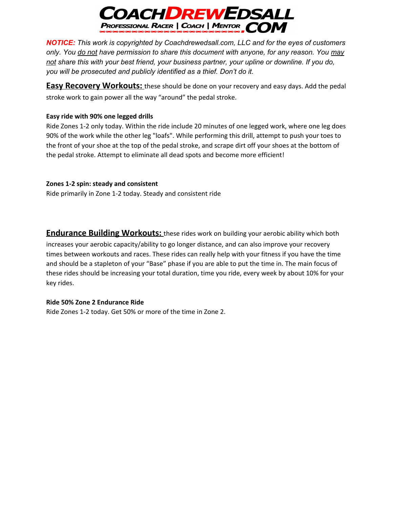

**Easy Recovery Workouts:** these should be done on your recovery and easy days. Add the pedal stroke work to gain power all the way "around" the pedal stroke.

## **Easy ride with 90% one legged drills**

Ride Zones 1-2 only today. Within the ride include 20 minutes of one legged work, where one leg does 90% of the work while the other leg "loafs". While performing this drill, attempt to push your toes to the front of your shoe at the top of the pedal stroke, and scrape dirt off your shoes at the bottom of the pedal stroke. Attempt to eliminate all dead spots and become more efficient!

## **Zones 1-2 spin: steady and consistent**

Ride primarily in Zone 1-2 today. Steady and consistent ride

**Endurance Building Workouts:** these rides work on building your aerobic ability which both increases your aerobic capacity/ability to go longer distance, and can also improve your recovery times between workouts and races. These rides can really help with your fitness if you have the time and should be a stapleton of your "Base" phase if you are able to put the time in. The main focus of these rides should be increasing your total duration, time you ride, every week by about 10% for your key rides.

### **Ride 50% Zone 2 Endurance Ride**

Ride Zones 1-2 today. Get 50% or more of the time in Zone 2.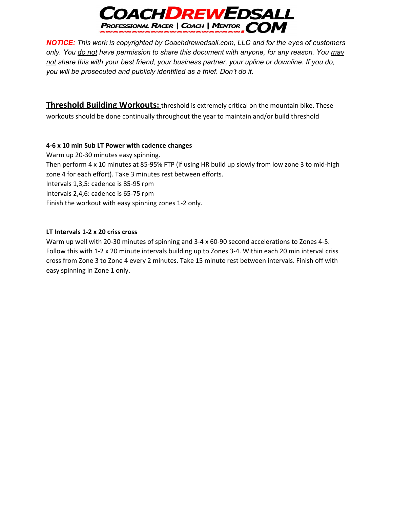

**Threshold Building Workouts:** threshold is extremely critical on the mountain bike. These workouts should be done continually throughout the year to maintain and/or build threshold

#### **4-6 x 10 min Sub LT Power with cadence changes**

Warm up 20-30 minutes easy spinning. Then perform 4 x 10 minutes at 85-95% FTP (if using HR build up slowly from low zone 3 to mid-high zone 4 for each effort). Take 3 minutes rest between efforts. Intervals 1,3,5: cadence is 85-95 rpm Intervals 2,4,6: cadence is 65-75 rpm Finish the workout with easy spinning zones 1-2 only.

#### **LT Intervals 1-2 x 20 criss cross**

Warm up well with 20-30 minutes of spinning and 3-4 x 60-90 second accelerations to Zones 4-5. Follow this with 1-2 x 20 minute intervals building up to Zones 3-4. Within each 20 min interval criss cross from Zone 3 to Zone 4 every 2 minutes. Take 15 minute rest between intervals. Finish off with easy spinning in Zone 1 only.